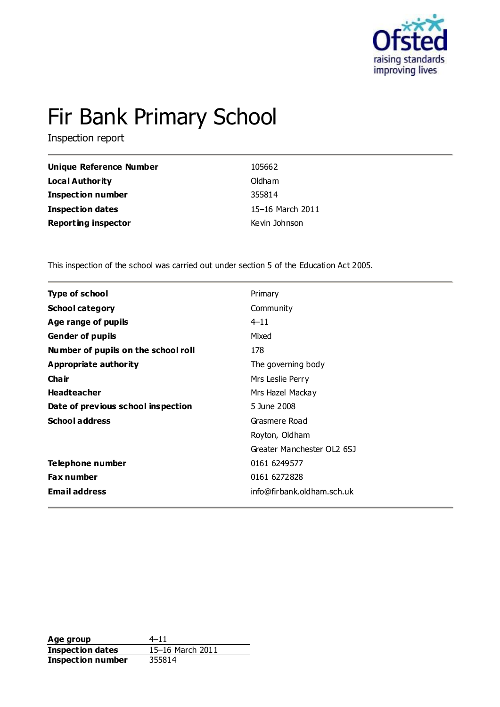

# Fir Bank Primary School

Inspection report

| Unique Reference Number    | 105662           |
|----------------------------|------------------|
| Local Authority            | Oldham           |
| <b>Inspection number</b>   | 355814           |
| Inspection dates           | 15-16 March 2011 |
| <b>Reporting inspector</b> | Kevin Johnson    |

This inspection of the school was carried out under section 5 of the Education Act 2005.

| <b>Type of school</b>               | Primary                    |
|-------------------------------------|----------------------------|
| <b>School category</b>              | Community                  |
| Age range of pupils                 | $4 - 11$                   |
| <b>Gender of pupils</b>             | Mixed                      |
| Number of pupils on the school roll | 178                        |
| Appropriate authority               | The governing body         |
| Cha ir                              | Mrs Leslie Perry           |
| <b>Headteacher</b>                  | Mrs Hazel Mackay           |
| Date of previous school inspection  | 5 June 2008                |
| <b>School address</b>               | Grasmere Road              |
|                                     | Royton, Oldham             |
|                                     | Greater Manchester OL2 6SJ |
| Telephone number                    | 0161 6249577               |
| <b>Fax number</b>                   | 0161 6272828               |
| <b>Email address</b>                | info@firbank.oldham.sch.uk |
|                                     |                            |

**Age group** 4–11<br> **Inspection dates** 15–16 March 2011 **Inspection dates Inspection number** 355814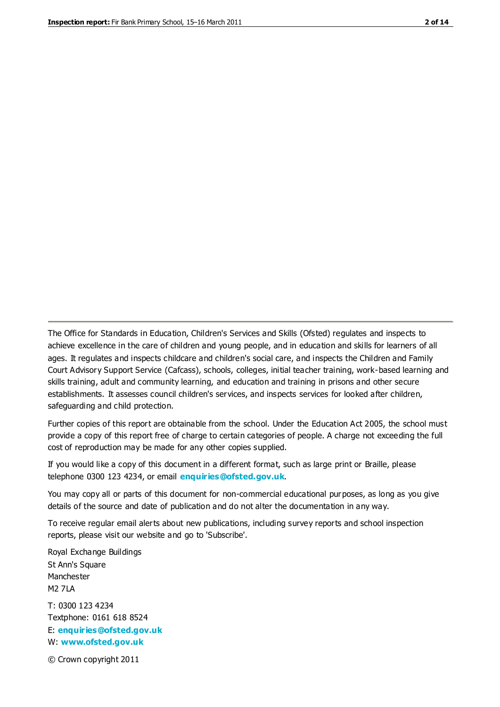The Office for Standards in Education, Children's Services and Skills (Ofsted) regulates and inspects to achieve excellence in the care of children and young people, and in education and skills for learners of all ages. It regulates and inspects childcare and children's social care, and inspects the Children and Family Court Advisory Support Service (Cafcass), schools, colleges, initial teacher training, work-based learning and skills training, adult and community learning, and education and training in prisons and other secure establishments. It assesses council children's services, and inspects services for looked after children, safeguarding and child protection.

Further copies of this report are obtainable from the school. Under the Education Act 2005, the school must provide a copy of this report free of charge to certain categories of people. A charge not exceeding the full cost of reproduction may be made for any other copies supplied.

If you would like a copy of this document in a different format, such as large print or Braille, please telephone 0300 123 4234, or email **[enquiries@ofsted.gov.uk](mailto:enquiries@ofsted.gov.uk)**.

You may copy all or parts of this document for non-commercial educational purposes, as long as you give details of the source and date of publication and do not alter the documentation in any way.

To receive regular email alerts about new publications, including survey reports and school inspection reports, please visit our website and go to 'Subscribe'.

Royal Exchange Buildings St Ann's Square Manchester M2 7LA T: 0300 123 4234 Textphone: 0161 618 8524 E: **[enquiries@ofsted.gov.uk](mailto:enquiries@ofsted.gov.uk)**

W: **[www.ofsted.gov.uk](http://www.ofsted.gov.uk/)**

© Crown copyright 2011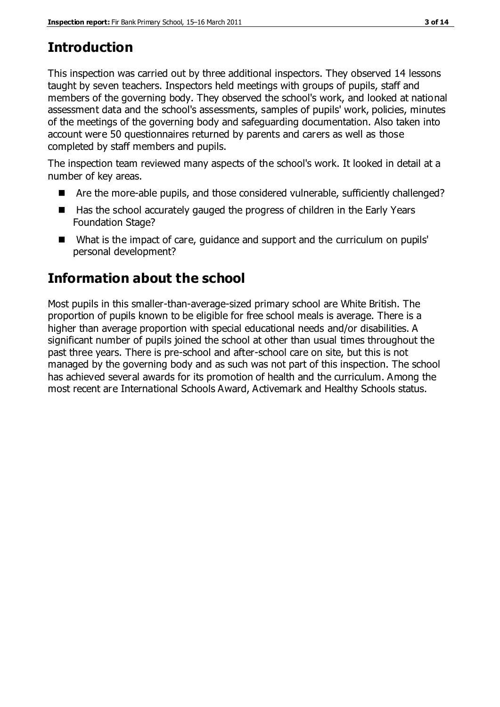# **Introduction**

This inspection was carried out by three additional inspectors. They observed 14 lessons taught by seven teachers. Inspectors held meetings with groups of pupils, staff and members of the governing body. They observed the school's work, and looked at national assessment data and the school's assessments, samples of pupils' work, policies, minutes of the meetings of the governing body and safeguarding documentation. Also taken into account were 50 questionnaires returned by parents and carers as well as those completed by staff members and pupils.

The inspection team reviewed many aspects of the school's work. It looked in detail at a number of key areas.

- Are the more-able pupils, and those considered vulnerable, sufficiently challenged?
- Has the school accurately gauged the progress of children in the Early Years Foundation Stage?
- What is the impact of care, quidance and support and the curriculum on pupils' personal development?

# **Information about the school**

Most pupils in this smaller-than-average-sized primary school are White British. The proportion of pupils known to be eligible for free school meals is average. There is a higher than average proportion with special educational needs and/or disabilities. A significant number of pupils joined the school at other than usual times throughout the past three years. There is pre-school and after-school care on site, but this is not managed by the governing body and as such was not part of this inspection. The school has achieved several awards for its promotion of health and the curriculum. Among the most recent are International Schools Award, Activemark and Healthy Schools status.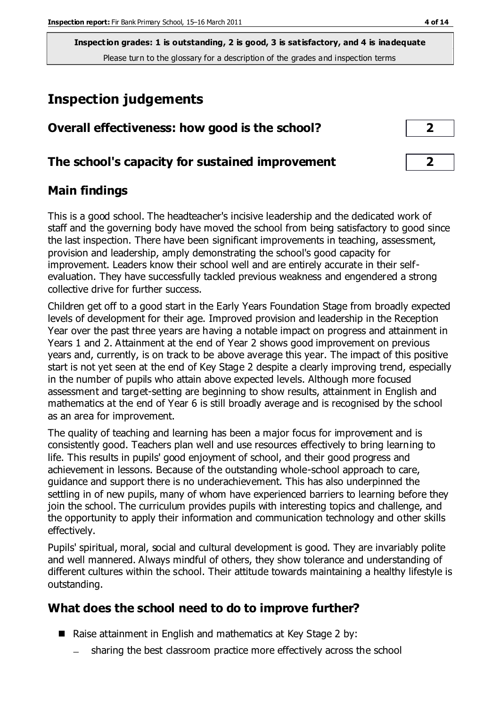**Inspection grades: 1 is outstanding, 2 is good, 3 is satisfactory, and 4 is inadequate** Please turn to the glossary for a description of the grades and inspection terms

## **Inspection judgements**

| Overall effectiveness: how good is the school?  | ר              |
|-------------------------------------------------|----------------|
| The school's capacity for sustained improvement | $\overline{2}$ |

## **Main findings**

This is a good school. The headteacher's incisive leadership and the dedicated work of staff and the governing body have moved the school from being satisfactory to good since the last inspection. There have been significant improvements in teaching, assessment, provision and leadership, amply demonstrating the school's good capacity for improvement. Leaders know their school well and are entirely accurate in their selfevaluation. They have successfully tackled previous weakness and engendered a strong collective drive for further success.

Children get off to a good start in the Early Years Foundation Stage from broadly expected levels of development for their age. Improved provision and leadership in the Reception Year over the past three years are having a notable impact on progress and attainment in Years 1 and 2. Attainment at the end of Year 2 shows good improvement on previous years and, currently, is on track to be above average this year. The impact of this positive start is not yet seen at the end of Key Stage 2 despite a clearly improving trend, especially in the number of pupils who attain above expected levels. Although more focused assessment and target-setting are beginning to show results, attainment in English and mathematics at the end of Year 6 is still broadly average and is recognised by the school as an area for improvement.

The quality of teaching and learning has been a major focus for improvement and is consistently good. Teachers plan well and use resources effectively to bring learning to life. This results in pupils' good enjoyment of school, and their good progress and achievement in lessons. Because of the outstanding whole-school approach to care, guidance and support there is no underachievement. This has also underpinned the settling in of new pupils, many of whom have experienced barriers to learning before they join the school. The curriculum provides pupils with interesting topics and challenge, and the opportunity to apply their information and communication technology and other skills effectively.

Pupils' spiritual, moral, social and cultural development is good. They are invariably polite and well mannered. Always mindful of others, they show tolerance and understanding of different cultures within the school. Their attitude towards maintaining a healthy lifestyle is outstanding.

## **What does the school need to do to improve further?**

- Raise attainment in English and mathematics at Key Stage 2 by:
	- sharing the best classroom practice more effectively across the school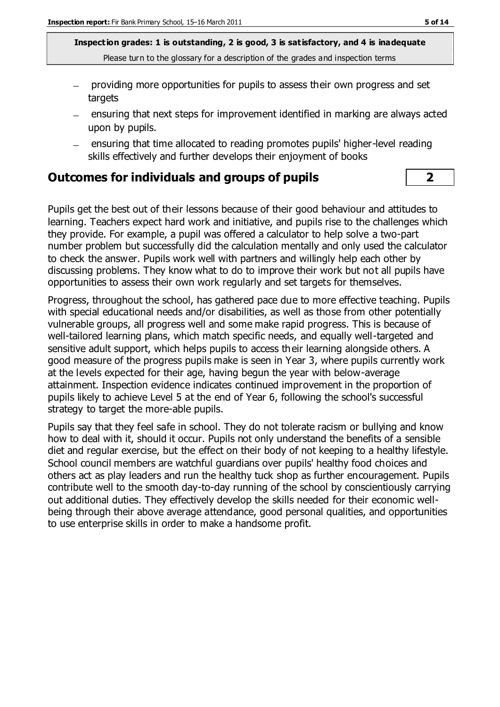**Inspection grades: 1 is outstanding, 2 is good, 3 is satisfactory, and 4 is inadequate** Please turn to the glossary for a description of the grades and inspection terms

- providing more opportunities for pupils to assess their own progress and set targets
- ensuring that next steps for improvement identified in marking are always acted upon by pupils.
- ensuring that time allocated to reading promotes pupils' higher-level reading skills effectively and further develops their enjoyment of books

#### **Outcomes for individuals and groups of pupils 2**

Pupils get the best out of their lessons because of their good behaviour and attitudes to learning. Teachers expect hard work and initiative, and pupils rise to the challenges which they provide. For example, a pupil was offered a calculator to help solve a two-part number problem but successfully did the calculation mentally and only used the calculator to check the answer. Pupils work well with partners and willingly help each other by discussing problems. They know what to do to improve their work but not all pupils have opportunities to assess their own work regularly and set targets for themselves.

Progress, throughout the school, has gathered pace due to more effective teaching. Pupils with special educational needs and/or disabilities, as well as those from other potentially vulnerable groups, all progress well and some make rapid progress. This is because of well-tailored learning plans, which match specific needs, and equally well-targeted and sensitive adult support, which helps pupils to access their learning alongside others. A good measure of the progress pupils make is seen in Year 3, where pupils currently work at the levels expected for their age, having begun the year with below-average attainment. Inspection evidence indicates continued improvement in the proportion of pupils likely to achieve Level 5 at the end of Year 6, following the school's successful strategy to target the more-able pupils.

Pupils say that they feel safe in school. They do not tolerate racism or bullying and know how to deal with it, should it occur. Pupils not only understand the benefits of a sensible diet and regular exercise, but the effect on their body of not keeping to a healthy lifestyle. School council members are watchful guardians over pupils' healthy food choices and others act as play leaders and run the healthy tuck shop as further encouragement. Pupils contribute well to the smooth day-to-day running of the school by conscientiously carrying out additional duties. They effectively develop the skills needed for their economic wellbeing through their above average attendance, good personal qualities, and opportunities to use enterprise skills in order to make a handsome profit.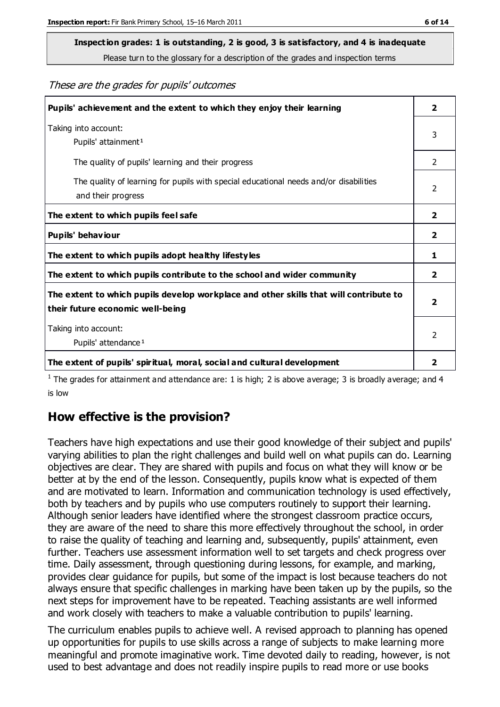# **Inspection grades: 1 is outstanding, 2 is good, 3 is satisfactory, and 4 is inadequate**

Please turn to the glossary for a description of the grades and inspection terms

#### These are the grades for pupils' outcomes

| Pupils' achievement and the extent to which they enjoy their learning                                                     | 2                       |
|---------------------------------------------------------------------------------------------------------------------------|-------------------------|
| Taking into account:<br>Pupils' attainment <sup>1</sup>                                                                   | 3                       |
| The quality of pupils' learning and their progress                                                                        | $\mathcal{P}$           |
| The quality of learning for pupils with special educational needs and/or disabilities<br>and their progress               | 2                       |
| The extent to which pupils feel safe                                                                                      | $\overline{2}$          |
| Pupils' behaviour                                                                                                         | 2                       |
| The extent to which pupils adopt healthy lifestyles                                                                       | 1                       |
| The extent to which pupils contribute to the school and wider community                                                   | $\overline{2}$          |
| The extent to which pupils develop workplace and other skills that will contribute to<br>their future economic well-being | $\overline{2}$          |
| Taking into account:<br>Pupils' attendance <sup>1</sup>                                                                   | $\mathcal{P}$           |
| The extent of pupils' spiritual, moral, social and cultural development                                                   | $\overline{\mathbf{2}}$ |

<sup>1</sup> The grades for attainment and attendance are: 1 is high; 2 is above average; 3 is broadly average; and 4 is low

#### **How effective is the provision?**

Teachers have high expectations and use their good knowledge of their subject and pupils' varying abilities to plan the right challenges and build well on what pupils can do. Learning objectives are clear. They are shared with pupils and focus on what they will know or be better at by the end of the lesson. Consequently, pupils know what is expected of them and are motivated to learn. Information and communication technology is used effectively, both by teachers and by pupils who use computers routinely to support their learning. Although senior leaders have identified where the strongest classroom practice occurs, they are aware of the need to share this more effectively throughout the school, in order to raise the quality of teaching and learning and, subsequently, pupils' attainment, even further. Teachers use assessment information well to set targets and check progress over time. Daily assessment, through questioning during lessons, for example, and marking, provides clear guidance for pupils, but some of the impact is lost because teachers do not always ensure that specific challenges in marking have been taken up by the pupils, so the next steps for improvement have to be repeated. Teaching assistants are well informed and work closely with teachers to make a valuable contribution to pupils' learning.

The curriculum enables pupils to achieve well. A revised approach to planning has opened up opportunities for pupils to use skills across a range of subjects to make learning more meaningful and promote imaginative work. Time devoted daily to reading, however, is not used to best advantage and does not readily inspire pupils to read more or use books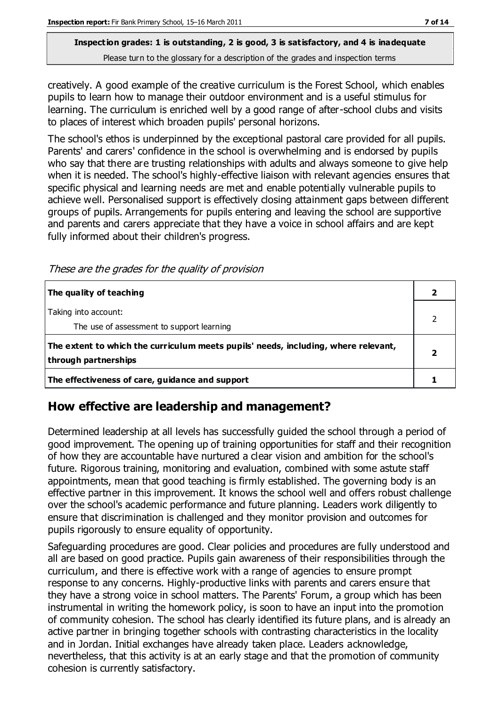#### **Inspection grades: 1 is outstanding, 2 is good, 3 is satisfactory, and 4 is inadequate** Please turn to the glossary for a description of the grades and inspection terms

creatively. A good example of the creative curriculum is the Forest School, which enables pupils to learn how to manage their outdoor environment and is a useful stimulus for learning. The curriculum is enriched well by a good range of after-school clubs and visits to places of interest which broaden pupils' personal horizons.

The school's ethos is underpinned by the exceptional pastoral care provided for all pupils. Parents' and carers' confidence in the school is overwhelming and is endorsed by pupils who say that there are trusting relationships with adults and always someone to give help when it is needed. The school's highly-effective liaison with relevant agencies ensures that specific physical and learning needs are met and enable potentially vulnerable pupils to achieve well. Personalised support is effectively closing attainment gaps between different groups of pupils. Arrangements for pupils entering and leaving the school are supportive and parents and carers appreciate that they have a voice in school affairs and are kept fully informed about their children's progress.

These are the grades for the quality of provision

| The quality of teaching                                                                                    |  |
|------------------------------------------------------------------------------------------------------------|--|
| Taking into account:<br>The use of assessment to support learning                                          |  |
| The extent to which the curriculum meets pupils' needs, including, where relevant,<br>through partnerships |  |
| The effectiveness of care, guidance and support                                                            |  |

## **How effective are leadership and management?**

Determined leadership at all levels has successfully guided the school through a period of good improvement. The opening up of training opportunities for staff and their recognition of how they are accountable have nurtured a clear vision and ambition for the school's future. Rigorous training, monitoring and evaluation, combined with some astute staff appointments, mean that good teaching is firmly established. The governing body is an effective partner in this improvement. It knows the school well and offers robust challenge over the school's academic performance and future planning. Leaders work diligently to ensure that discrimination is challenged and they monitor provision and outcomes for pupils rigorously to ensure equality of opportunity.

Safeguarding procedures are good. Clear policies and procedures are fully understood and all are based on good practice. Pupils gain awareness of their responsibilities through the curriculum, and there is effective work with a range of agencies to ensure prompt response to any concerns. Highly-productive links with parents and carers ensure that they have a strong voice in school matters. The Parents' Forum, a group which has been instrumental in writing the homework policy, is soon to have an input into the promotion of community cohesion. The school has clearly identified its future plans, and is already an active partner in bringing together schools with contrasting characteristics in the locality and in Jordan. Initial exchanges have already taken place. Leaders acknowledge, nevertheless, that this activity is at an early stage and that the promotion of community cohesion is currently satisfactory.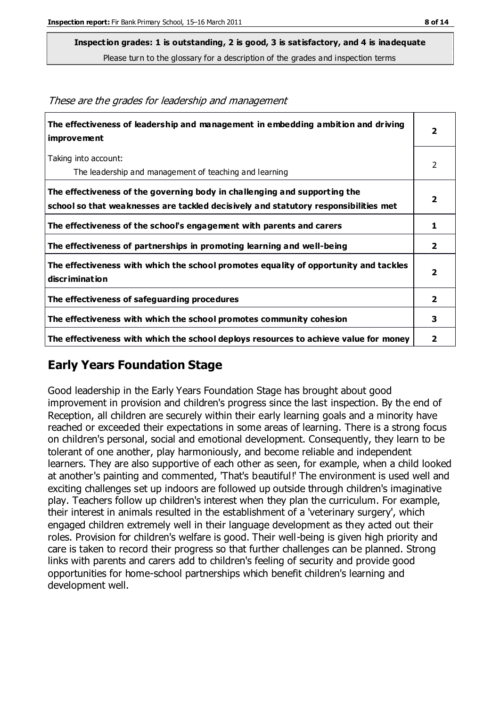**Inspection grades: 1 is outstanding, 2 is good, 3 is satisfactory, and 4 is inadequate**

Please turn to the glossary for a description of the grades and inspection terms

| The effectiveness of leadership and management in embedding ambition and driving<br>improvement                                                                  | $\overline{\mathbf{2}}$ |
|------------------------------------------------------------------------------------------------------------------------------------------------------------------|-------------------------|
| Taking into account:<br>The leadership and management of teaching and learning                                                                                   | 2                       |
| The effectiveness of the governing body in challenging and supporting the<br>school so that weaknesses are tackled decisively and statutory responsibilities met | $\overline{2}$          |
| The effectiveness of the school's engagement with parents and carers                                                                                             | 1                       |
| The effectiveness of partnerships in promoting learning and well-being                                                                                           | $\overline{2}$          |
| The effectiveness with which the school promotes equality of opportunity and tackles<br>discrimination                                                           | $\overline{\mathbf{2}}$ |
| The effectiveness of safeguarding procedures                                                                                                                     | $\overline{2}$          |
| The effectiveness with which the school promotes community cohesion                                                                                              | 3                       |
| The effectiveness with which the school deploys resources to achieve value for money                                                                             | 2                       |

These are the grades for leadership and management

## **Early Years Foundation Stage**

Good leadership in the Early Years Foundation Stage has brought about good improvement in provision and children's progress since the last inspection. By the end of Reception, all children are securely within their early learning goals and a minority have reached or exceeded their expectations in some areas of learning. There is a strong focus on children's personal, social and emotional development. Consequently, they learn to be tolerant of one another, play harmoniously, and become reliable and independent learners. They are also supportive of each other as seen, for example, when a child looked at another's painting and commented, 'That's beautiful!' The environment is used well and exciting challenges set up indoors are followed up outside through children's imaginative play. Teachers follow up children's interest when they plan the curriculum. For example, their interest in animals resulted in the establishment of a 'veterinary surgery', which engaged children extremely well in their language development as they acted out their roles. Provision for children's welfare is good. Their well-being is given high priority and care is taken to record their progress so that further challenges can be planned. Strong links with parents and carers add to children's feeling of security and provide good opportunities for home-school partnerships which benefit children's learning and development well.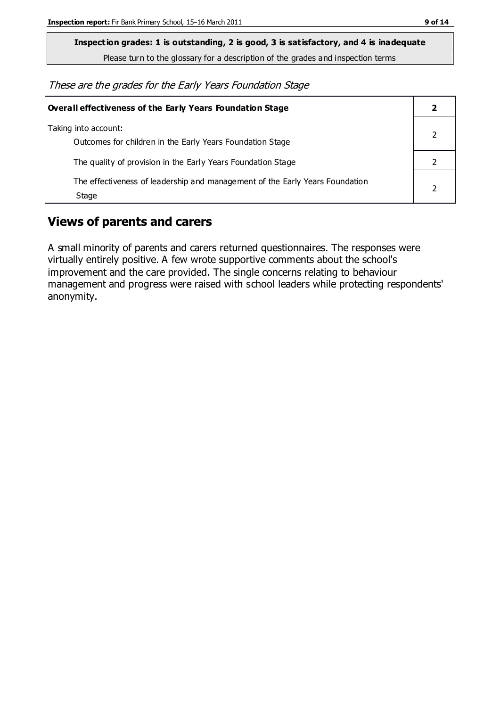**Inspection grades: 1 is outstanding, 2 is good, 3 is satisfactory, and 4 is inadequate**

Please turn to the glossary for a description of the grades and inspection terms

These are the grades for the Early Years Foundation Stage

| Overall effectiveness of the Early Years Foundation Stage                             |  |
|---------------------------------------------------------------------------------------|--|
| Taking into account:<br>Outcomes for children in the Early Years Foundation Stage     |  |
| The quality of provision in the Early Years Foundation Stage                          |  |
| The effectiveness of leadership and management of the Early Years Foundation<br>Stage |  |

#### **Views of parents and carers**

A small minority of parents and carers returned questionnaires. The responses were virtually entirely positive. A few wrote supportive comments about the school's improvement and the care provided. The single concerns relating to behaviour management and progress were raised with school leaders while protecting respondents' anonymity.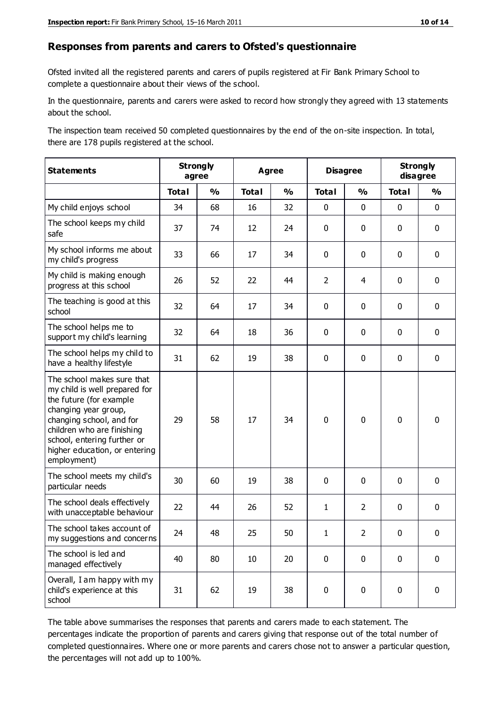#### **Responses from parents and carers to Ofsted's questionnaire**

Ofsted invited all the registered parents and carers of pupils registered at Fir Bank Primary School to complete a questionnaire about their views of the school.

In the questionnaire, parents and carers were asked to record how strongly they agreed with 13 statements about the school.

The inspection team received 50 completed questionnaires by the end of the on-site inspection. In total, there are 178 pupils registered at the school.

| <b>Statements</b>                                                                                                                                                                                                                                       | <b>Strongly</b><br>agree |                         | <b>Agree</b> |               | <b>Disagree</b> |                | <b>Strongly</b><br>disagree |               |
|---------------------------------------------------------------------------------------------------------------------------------------------------------------------------------------------------------------------------------------------------------|--------------------------|-------------------------|--------------|---------------|-----------------|----------------|-----------------------------|---------------|
|                                                                                                                                                                                                                                                         | <b>Total</b>             | $\mathbf{O}/\mathbf{O}$ | <b>Total</b> | $\frac{1}{2}$ | <b>Total</b>    | $\frac{1}{2}$  | <b>Total</b>                | $\frac{1}{2}$ |
| My child enjoys school                                                                                                                                                                                                                                  | 34                       | 68                      | 16           | 32            | 0               | 0              | $\mathbf 0$                 | $\mathbf 0$   |
| The school keeps my child<br>safe                                                                                                                                                                                                                       | 37                       | 74                      | 12           | 24            | 0               | 0              | $\mathbf 0$                 | $\mathbf 0$   |
| My school informs me about<br>my child's progress                                                                                                                                                                                                       | 33                       | 66                      | 17           | 34            | 0               | 0              | $\mathbf 0$                 | $\mathbf 0$   |
| My child is making enough<br>progress at this school                                                                                                                                                                                                    | 26                       | 52                      | 22           | 44            | $\overline{2}$  | 4              | $\mathbf 0$                 | $\mathbf 0$   |
| The teaching is good at this<br>school                                                                                                                                                                                                                  | 32                       | 64                      | 17           | 34            | 0               | 0              | 0                           | $\mathbf 0$   |
| The school helps me to<br>support my child's learning                                                                                                                                                                                                   | 32                       | 64                      | 18           | 36            | 0               | $\mathbf{0}$   | 0                           | $\mathbf 0$   |
| The school helps my child to<br>have a healthy lifestyle                                                                                                                                                                                                | 31                       | 62                      | 19           | 38            | 0               | 0              | 0                           | $\pmb{0}$     |
| The school makes sure that<br>my child is well prepared for<br>the future (for example<br>changing year group,<br>changing school, and for<br>children who are finishing<br>school, entering further or<br>higher education, or entering<br>employment) | 29                       | 58                      | 17           | 34            | $\mathbf 0$     | 0              | $\mathbf 0$                 | $\mathbf 0$   |
| The school meets my child's<br>particular needs                                                                                                                                                                                                         | 30                       | 60                      | 19           | 38            | 0               | $\mathbf 0$    | $\mathbf 0$                 | $\mathbf 0$   |
| The school deals effectively<br>with unacceptable behaviour                                                                                                                                                                                             | 22                       | 44                      | 26           | 52            | 1               | $\overline{2}$ | $\mathbf 0$                 | $\pmb{0}$     |
| The school takes account of<br>my suggestions and concerns                                                                                                                                                                                              | 24                       | 48                      | 25           | 50            | 1               | $\overline{2}$ | $\mathbf{0}$                | $\mathbf{0}$  |
| The school is led and<br>managed effectively                                                                                                                                                                                                            | 40                       | 80                      | 10           | 20            | 0               | $\mathbf 0$    | $\mathbf 0$                 | $\mathbf 0$   |
| Overall, I am happy with my<br>child's experience at this<br>school                                                                                                                                                                                     | 31                       | 62                      | 19           | 38            | 0               | 0              | $\mathbf 0$                 | $\pmb{0}$     |

The table above summarises the responses that parents and carers made to each statement. The percentages indicate the proportion of parents and carers giving that response out of the total number of completed questionnaires. Where one or more parents and carers chose not to answer a particular question, the percentages will not add up to 100%.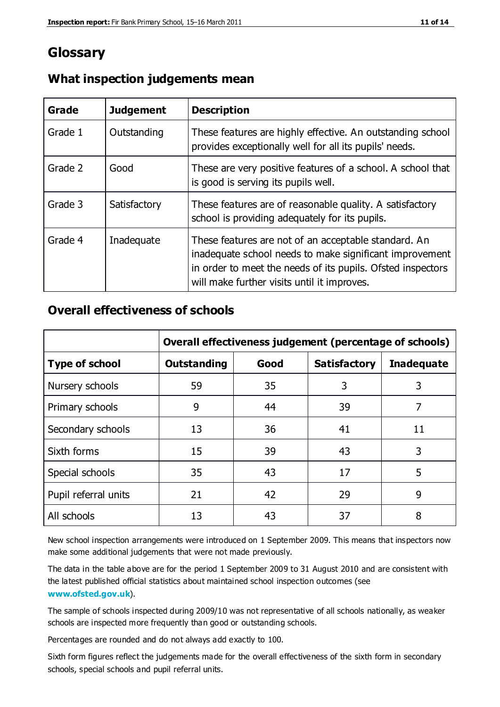## **Glossary**

| Grade   | <b>Judgement</b> | <b>Description</b>                                                                                                                                                                                                            |
|---------|------------------|-------------------------------------------------------------------------------------------------------------------------------------------------------------------------------------------------------------------------------|
| Grade 1 | Outstanding      | These features are highly effective. An outstanding school<br>provides exceptionally well for all its pupils' needs.                                                                                                          |
| Grade 2 | Good             | These are very positive features of a school. A school that<br>is good is serving its pupils well.                                                                                                                            |
| Grade 3 | Satisfactory     | These features are of reasonable quality. A satisfactory<br>school is providing adequately for its pupils.                                                                                                                    |
| Grade 4 | Inadequate       | These features are not of an acceptable standard. An<br>inadequate school needs to make significant improvement<br>in order to meet the needs of its pupils. Ofsted inspectors<br>will make further visits until it improves. |

#### **What inspection judgements mean**

#### **Overall effectiveness of schools**

|                       | Overall effectiveness judgement (percentage of schools) |      |                     |                   |
|-----------------------|---------------------------------------------------------|------|---------------------|-------------------|
| <b>Type of school</b> | <b>Outstanding</b>                                      | Good | <b>Satisfactory</b> | <b>Inadequate</b> |
| Nursery schools       | 59                                                      | 35   | 3                   | 3                 |
| Primary schools       | 9                                                       | 44   | 39                  | 7                 |
| Secondary schools     | 13                                                      | 36   | 41                  | 11                |
| Sixth forms           | 15                                                      | 39   | 43                  | 3                 |
| Special schools       | 35                                                      | 43   | 17                  | 5                 |
| Pupil referral units  | 21                                                      | 42   | 29                  | 9                 |
| All schools           | 13                                                      | 43   | 37                  | 8                 |

New school inspection arrangements were introduced on 1 September 2009. This means that inspectors now make some additional judgements that were not made previously.

The data in the table above are for the period 1 September 2009 to 31 August 2010 and are consistent with the latest published official statistics about maintained school inspection outcomes (see **[www.ofsted.gov.uk](http://www.ofsted.gov.uk/)**).

The sample of schools inspected during 2009/10 was not representative of all schools nationally, as weaker schools are inspected more frequently than good or outstanding schools.

Percentages are rounded and do not always add exactly to 100.

Sixth form figures reflect the judgements made for the overall effectiveness of the sixth form in secondary schools, special schools and pupil referral units.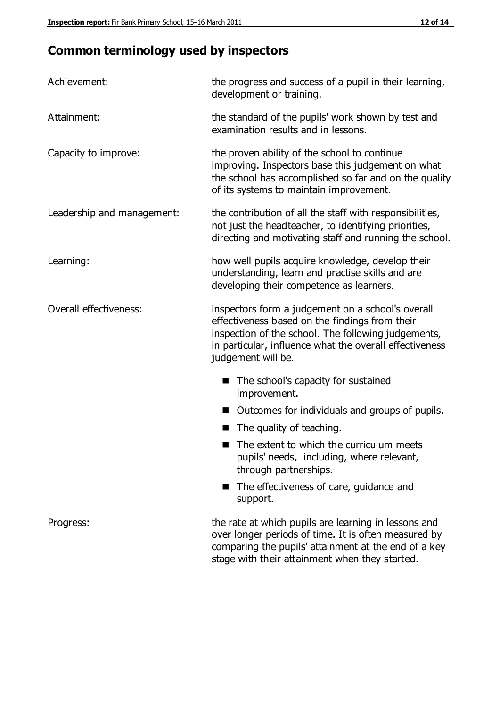## **Common terminology used by inspectors**

| Achievement:               | the progress and success of a pupil in their learning,<br>development or training.                                                                                                                                                          |  |  |
|----------------------------|---------------------------------------------------------------------------------------------------------------------------------------------------------------------------------------------------------------------------------------------|--|--|
| Attainment:                | the standard of the pupils' work shown by test and<br>examination results and in lessons.                                                                                                                                                   |  |  |
| Capacity to improve:       | the proven ability of the school to continue<br>improving. Inspectors base this judgement on what<br>the school has accomplished so far and on the quality<br>of its systems to maintain improvement.                                       |  |  |
| Leadership and management: | the contribution of all the staff with responsibilities,<br>not just the headteacher, to identifying priorities,<br>directing and motivating staff and running the school.                                                                  |  |  |
| Learning:                  | how well pupils acquire knowledge, develop their<br>understanding, learn and practise skills and are<br>developing their competence as learners.                                                                                            |  |  |
| Overall effectiveness:     | inspectors form a judgement on a school's overall<br>effectiveness based on the findings from their<br>inspection of the school. The following judgements,<br>in particular, influence what the overall effectiveness<br>judgement will be. |  |  |
|                            | The school's capacity for sustained<br>improvement.                                                                                                                                                                                         |  |  |
|                            | Outcomes for individuals and groups of pupils.                                                                                                                                                                                              |  |  |
|                            | The quality of teaching.                                                                                                                                                                                                                    |  |  |
|                            | The extent to which the curriculum meets<br>pupils' needs, including, where relevant,<br>through partnerships.                                                                                                                              |  |  |
|                            | The effectiveness of care, guidance and<br>support.                                                                                                                                                                                         |  |  |
| Progress:                  | the rate at which pupils are learning in lessons and<br>over longer periods of time. It is often measured by<br>comparing the pupils' attainment at the end of a key                                                                        |  |  |

stage with their attainment when they started.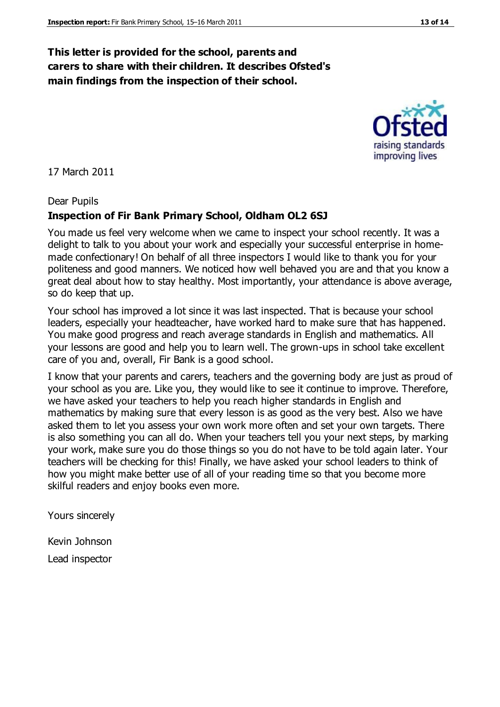#### **This letter is provided for the school, parents and carers to share with their children. It describes Ofsted's main findings from the inspection of their school.**

17 March 2011

#### Dear Pupils

#### **Inspection of Fir Bank Primary School, Oldham OL2 6SJ**

You made us feel very welcome when we came to inspect your school recently. It was a delight to talk to you about your work and especially your successful enterprise in homemade confectionary! On behalf of all three inspectors I would like to thank you for your politeness and good manners. We noticed how well behaved you are and that you know a great deal about how to stay healthy. Most importantly, your attendance is above average, so do keep that up.

Your school has improved a lot since it was last inspected. That is because your school leaders, especially your headteacher, have worked hard to make sure that has happened. You make good progress and reach average standards in English and mathematics. All your lessons are good and help you to learn well. The grown-ups in school take excellent care of you and, overall, Fir Bank is a good school.

I know that your parents and carers, teachers and the governing body are just as proud of your school as you are. Like you, they would like to see it continue to improve. Therefore, we have asked your teachers to help you reach higher standards in English and mathematics by making sure that every lesson is as good as the very best. Also we have asked them to let you assess your own work more often and set your own targets. There is also something you can all do. When your teachers tell you your next steps, by marking your work, make sure you do those things so you do not have to be told again later. Your teachers will be checking for this! Finally, we have asked your school leaders to think of how you might make better use of all of your reading time so that you become more skilful readers and enjoy books even more.

Yours sincerely

Kevin Johnson

Lead inspector